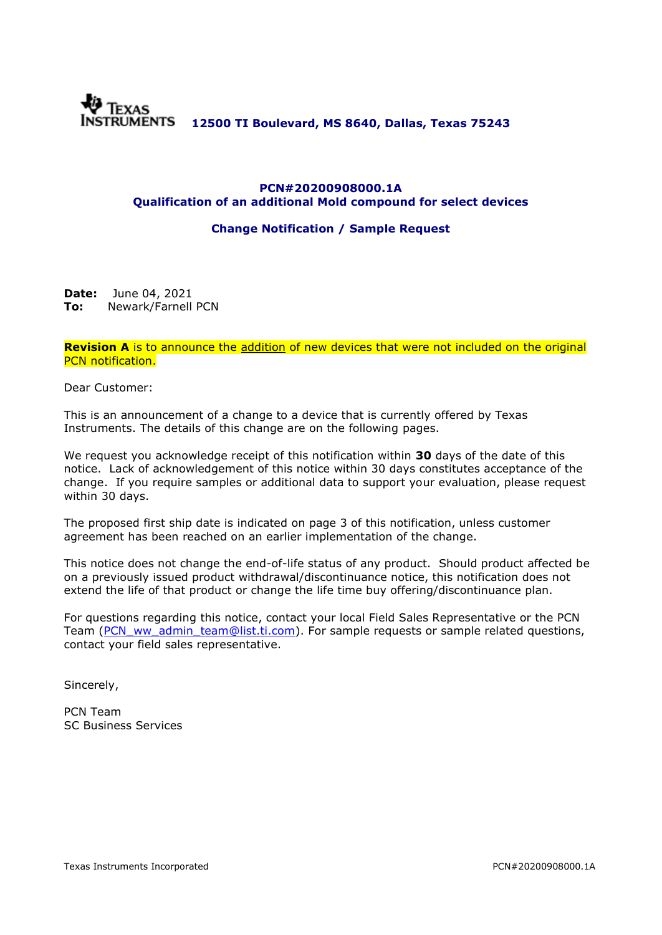

### **PCN#20200908000.1A Qualification of an additional Mold compound for select devices**

### **Change Notification / Sample Request**

**Date:** June 04, 2021 **To:** Newark/Farnell PCN

**Revision A** is to announce the addition of new devices that were not included on the original PCN notification.

Dear Customer:

This is an announcement of a change to a device that is currently offered by Texas Instruments. The details of this change are on the following pages.

We request you acknowledge receipt of this notification within **30** days of the date of this notice. Lack of acknowledgement of this notice within 30 days constitutes acceptance of the change. If you require samples or additional data to support your evaluation, please request within 30 days.

The proposed first ship date is indicated on page 3 of this notification, unless customer agreement has been reached on an earlier implementation of the change.

This notice does not change the end-of-life status of any product. Should product affected be on a previously issued product withdrawal/discontinuance notice, this notification does not extend the life of that product or change the life time buy offering/discontinuance plan.

For questions regarding this notice, contact your local Field Sales Representative or the PCN Team [\(PCN\\_ww\\_admin\\_team@list.ti.com\)](mailto:PCN_ww_admin_team@list.ti.com). For sample requests or sample related questions, contact your field sales representative.

Sincerely,

PCN Team SC Business Services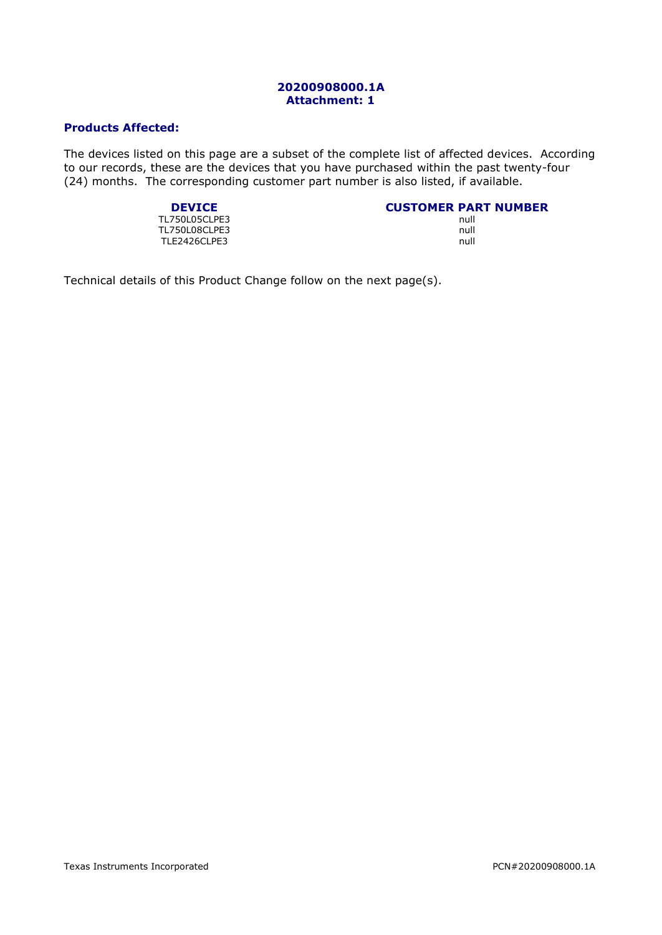### **20200908000.1A Attachment: 1**

### **Products Affected:**

The devices listed on this page are a subset of the complete list of affected devices. According to our records, these are the devices that you have purchased within the past twenty-four (24) months. The corresponding customer part number is also listed, if available.

TL750L05CLPE3 TL750L08CLPE3 null TLE2426CLPE3

# **DEVICE**<br> **CUSTOMER PART NUMBER**<br>
TSOLOSCLPE3

Technical details of this Product Change follow on the next page(s).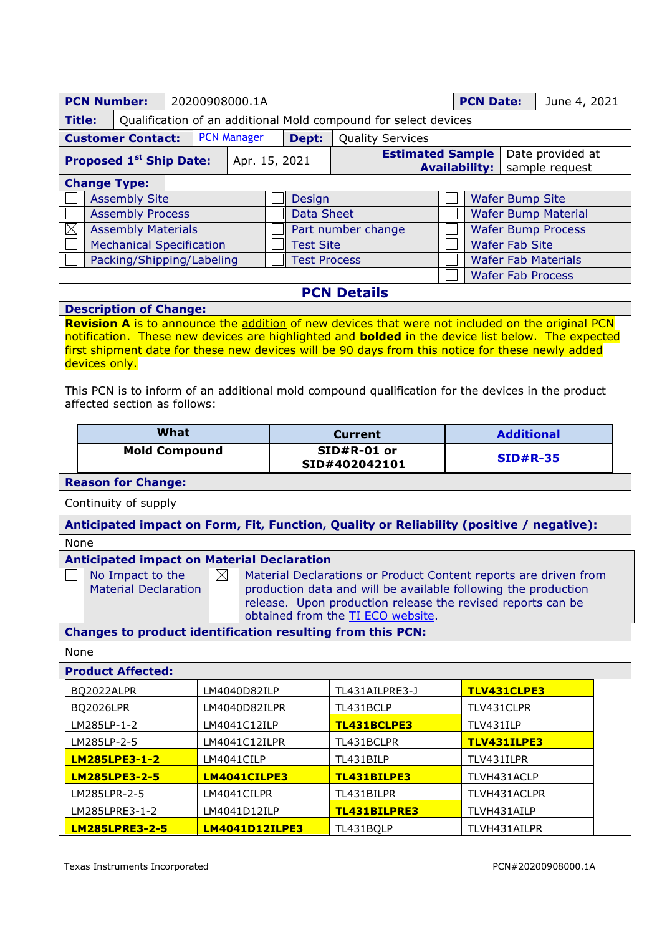| <b>PCN Number:</b>                                                                 |                                                                                                                                         | 20200908000.1A       |                                                                |                                                                                     | <b>PCN Date:</b>                                                                                                                                                                                             | June 4, 2021                               |                                    |  |
|------------------------------------------------------------------------------------|-----------------------------------------------------------------------------------------------------------------------------------------|----------------------|----------------------------------------------------------------|-------------------------------------------------------------------------------------|--------------------------------------------------------------------------------------------------------------------------------------------------------------------------------------------------------------|--------------------------------------------|------------------------------------|--|
| Qualification of an additional Mold compound for select devices<br><b>Title:</b>   |                                                                                                                                         |                      |                                                                |                                                                                     |                                                                                                                                                                                                              |                                            |                                    |  |
| <b>PCN Manager</b><br><b>Customer Contact:</b><br>Dept:<br><b>Quality Services</b> |                                                                                                                                         |                      |                                                                |                                                                                     |                                                                                                                                                                                                              |                                            |                                    |  |
|                                                                                    | <b>Proposed 1st Ship Date:</b>                                                                                                          |                      | Apr. 15, 2021                                                  |                                                                                     | <b>Estimated Sample</b>                                                                                                                                                                                      | <b>Availability:</b>                       | Date provided at<br>sample request |  |
| <b>Change Type:</b>                                                                |                                                                                                                                         |                      |                                                                |                                                                                     |                                                                                                                                                                                                              |                                            |                                    |  |
|                                                                                    | <b>Assembly Site</b>                                                                                                                    |                      |                                                                |                                                                                     | <b>Wafer Bump Site</b><br>Design                                                                                                                                                                             |                                            |                                    |  |
|                                                                                    | <b>Assembly Process</b>                                                                                                                 |                      |                                                                |                                                                                     | <b>Data Sheet</b><br><b>Wafer Bump Material</b>                                                                                                                                                              |                                            |                                    |  |
| $\boxtimes$                                                                        | <b>Assembly Materials</b>                                                                                                               |                      |                                                                |                                                                                     | <b>Wafer Bump Process</b><br>Part number change                                                                                                                                                              |                                            |                                    |  |
|                                                                                    | <b>Mechanical Specification</b>                                                                                                         |                      |                                                                | <b>Wafer Fab Site</b><br><b>Test Site</b>                                           |                                                                                                                                                                                                              |                                            |                                    |  |
|                                                                                    | Packing/Shipping/Labeling                                                                                                               |                      |                                                                |                                                                                     | <b>Test Process</b>                                                                                                                                                                                          |                                            | <b>Wafer Fab Materials</b>         |  |
|                                                                                    |                                                                                                                                         |                      |                                                                |                                                                                     | <b>Wafer Fab Process</b>                                                                                                                                                                                     |                                            |                                    |  |
|                                                                                    |                                                                                                                                         |                      |                                                                |                                                                                     | <b>PCN Details</b>                                                                                                                                                                                           |                                            |                                    |  |
|                                                                                    | <b>Description of Change:</b>                                                                                                           |                      |                                                                |                                                                                     |                                                                                                                                                                                                              |                                            |                                    |  |
|                                                                                    |                                                                                                                                         |                      |                                                                |                                                                                     | Revision A is to announce the addition of new devices that were not included on the original PCN<br>notification. These new devices are highlighted and <b>bolded</b> in the device list below. The expected |                                            |                                    |  |
|                                                                                    |                                                                                                                                         |                      |                                                                |                                                                                     | first shipment date for these new devices will be 90 days from this notice for these newly added                                                                                                             |                                            |                                    |  |
| devices only.                                                                      |                                                                                                                                         |                      |                                                                |                                                                                     |                                                                                                                                                                                                              |                                            |                                    |  |
|                                                                                    |                                                                                                                                         |                      |                                                                |                                                                                     |                                                                                                                                                                                                              |                                            |                                    |  |
|                                                                                    |                                                                                                                                         |                      |                                                                |                                                                                     | This PCN is to inform of an additional mold compound qualification for the devices in the product                                                                                                            |                                            |                                    |  |
|                                                                                    | affected section as follows:                                                                                                            |                      |                                                                |                                                                                     |                                                                                                                                                                                                              |                                            |                                    |  |
|                                                                                    |                                                                                                                                         | What                 |                                                                | <b>Current</b>                                                                      |                                                                                                                                                                                                              |                                            | <b>Additional</b>                  |  |
|                                                                                    |                                                                                                                                         | <b>Mold Compound</b> |                                                                | SID#R-01 or                                                                         |                                                                                                                                                                                                              |                                            |                                    |  |
|                                                                                    |                                                                                                                                         |                      |                                                                |                                                                                     | <b>SID#R-35</b><br>SID#402042101                                                                                                                                                                             |                                            |                                    |  |
| <b>Reason for Change:</b>                                                          |                                                                                                                                         |                      |                                                                |                                                                                     |                                                                                                                                                                                                              |                                            |                                    |  |
|                                                                                    | Continuity of supply                                                                                                                    |                      |                                                                |                                                                                     |                                                                                                                                                                                                              |                                            |                                    |  |
|                                                                                    |                                                                                                                                         |                      |                                                                |                                                                                     | Anticipated impact on Form, Fit, Function, Quality or Reliability (positive / negative):                                                                                                                     |                                            |                                    |  |
| None                                                                               |                                                                                                                                         |                      |                                                                |                                                                                     |                                                                                                                                                                                                              |                                            |                                    |  |
|                                                                                    |                                                                                                                                         |                      |                                                                | <b>Anticipated impact on Material Declaration</b>                                   |                                                                                                                                                                                                              |                                            |                                    |  |
|                                                                                    | No Impact to the                                                                                                                        | $\boxtimes$          |                                                                |                                                                                     | Material Declarations or Product Content reports are driven from                                                                                                                                             |                                            |                                    |  |
| <b>Material Declaration</b>                                                        |                                                                                                                                         |                      | production data and will be available following the production |                                                                                     |                                                                                                                                                                                                              |                                            |                                    |  |
|                                                                                    |                                                                                                                                         |                      |                                                                | release. Upon production release the revised reports can be                         |                                                                                                                                                                                                              |                                            |                                    |  |
| obtained from the TI ECO website.                                                  |                                                                                                                                         |                      |                                                                |                                                                                     |                                                                                                                                                                                                              |                                            |                                    |  |
| <b>Changes to product identification resulting from this PCN:</b>                  |                                                                                                                                         |                      |                                                                |                                                                                     |                                                                                                                                                                                                              |                                            |                                    |  |
| None                                                                               |                                                                                                                                         |                      |                                                                |                                                                                     |                                                                                                                                                                                                              |                                            |                                    |  |
|                                                                                    | <b>Product Affected:</b>                                                                                                                |                      |                                                                |                                                                                     |                                                                                                                                                                                                              |                                            |                                    |  |
| BQ2022ALPR                                                                         |                                                                                                                                         |                      | LM4040D82ILP                                                   |                                                                                     | TL431AILPRE3-J                                                                                                                                                                                               |                                            | TLV431CLPE3                        |  |
| <b>BQ2026LPR</b>                                                                   |                                                                                                                                         |                      | LM4040D82ILPR                                                  |                                                                                     | TL431BCLP                                                                                                                                                                                                    | TLV431CLPR                                 |                                    |  |
|                                                                                    |                                                                                                                                         |                      | LM4041C12ILP                                                   |                                                                                     |                                                                                                                                                                                                              |                                            | TLV431ILP                          |  |
|                                                                                    |                                                                                                                                         |                      | LM4041C12ILPR                                                  |                                                                                     |                                                                                                                                                                                                              |                                            | TLV431ILPE3                        |  |
|                                                                                    |                                                                                                                                         |                      |                                                                |                                                                                     |                                                                                                                                                                                                              |                                            | TLV431ILPR                         |  |
|                                                                                    |                                                                                                                                         |                      |                                                                |                                                                                     |                                                                                                                                                                                                              |                                            |                                    |  |
|                                                                                    |                                                                                                                                         |                      |                                                                |                                                                                     |                                                                                                                                                                                                              |                                            |                                    |  |
|                                                                                    |                                                                                                                                         |                      |                                                                |                                                                                     |                                                                                                                                                                                                              |                                            |                                    |  |
| LM285LPRE3-1-2                                                                     |                                                                                                                                         |                      | LM4041D12ILP                                                   |                                                                                     |                                                                                                                                                                                                              |                                            | TLVH431AILPR                       |  |
|                                                                                    | LM285LP-1-2<br>LM285LP-2-5<br><b>LM285LPE3-1-2</b><br>LM4041CILP<br><b>LM285LPE3-2-5</b><br>LM4041CILPE3<br>LM285LPR-2-5<br>LM4041CILPR |                      |                                                                | TL431BCLPE3<br>TL431BCLPR<br>TL431BILP<br>TL431BILPE3<br>TL431BILPR<br>TL431BILPRE3 |                                                                                                                                                                                                              | TLVH431ACLP<br>TLVH431ACLPR<br>TLVH431AILP |                                    |  |
| <b>LM285LPRE3-2-5</b>                                                              |                                                                                                                                         |                      | <b>LM4041D12ILPE3</b>                                          |                                                                                     | TL431BQLP                                                                                                                                                                                                    |                                            |                                    |  |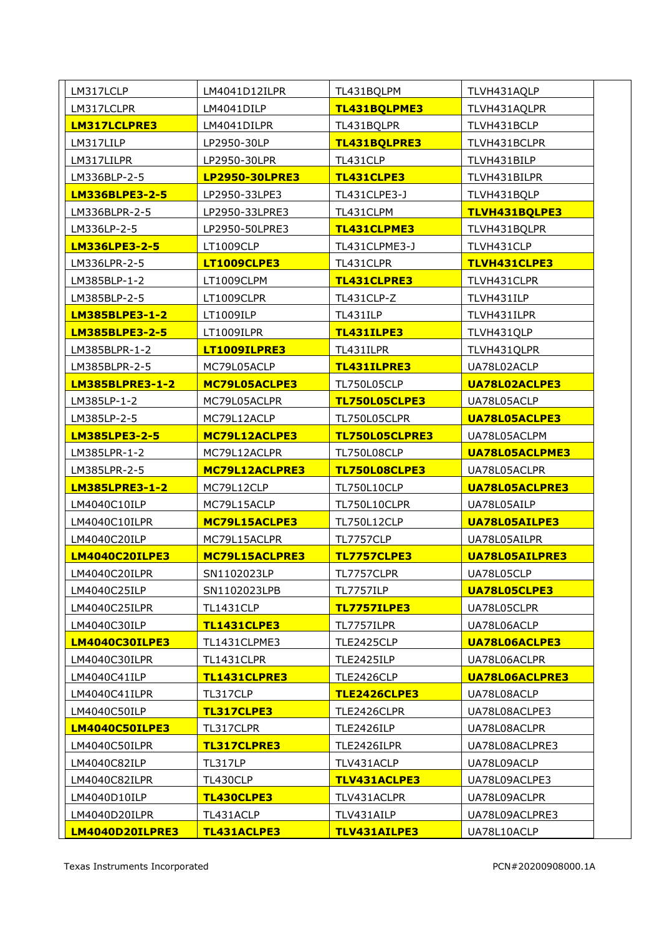| LM317LCLP              | LM4041D12ILPR         | TL431BQLPM          | TLVH431AQLP           |
|------------------------|-----------------------|---------------------|-----------------------|
| LM317LCLPR             | LM4041DILP            | TL431BQLPME3        | TLVH431AQLPR          |
| LM317LCLPRE3           | LM4041DILPR           | TL431BQLPR          | TLVH431BCLP           |
| LM317LILP              | LP2950-30LP           | TL431BQLPRE3        | TLVH431BCLPR          |
| LM317LILPR             | LP2950-30LPR          | TL431CLP            | TLVH431BILP           |
| LM336BLP-2-5           | <b>LP2950-30LPRE3</b> | TL431CLPE3          | TLVH431BILPR          |
| <b>LM336BLPE3-2-5</b>  | LP2950-33LPE3         | TL431CLPE3-J        | TLVH431BQLP           |
| LM336BLPR-2-5          | LP2950-33LPRE3        | TL431CLPM           | TLVH431BQLPE3         |
| LM336LP-2-5            | LP2950-50LPRE3        | TL431CLPME3         | TLVH431BQLPR          |
| <b>LM336LPE3-2-5</b>   | LT1009CLP             | TL431CLPME3-J       | TLVH431CLP            |
| LM336LPR-2-5           | LT1009CLPE3           | TL431CLPR           | TLVH431CLPE3          |
| LM385BLP-1-2           | LT1009CLPM            | TL431CLPRE3         | TLVH431CLPR           |
| LM385BLP-2-5           | LT1009CLPR            | TL431CLP-Z          | TLVH431ILP            |
| <b>LM385BLPE3-1-2</b>  | LT1009ILP             | TL431ILP            | TLVH431ILPR           |
| <b>LM385BLPE3-2-5</b>  | LT1009ILPR            | TL431ILPE3          | TLVH431QLP            |
| LM385BLPR-1-2          | LT1009ILPRE3          | TL431ILPR           | TLVH431QLPR           |
| LM385BLPR-2-5          | MC79L05ACLP           | TL431ILPRE3         | UA78L02ACLP           |
| <b>LM385BLPRE3-1-2</b> | MC79L05ACLPE3         | TL750L05CLP         | UA78L02ACLPE3         |
| LM385LP-1-2            | MC79L05ACLPR          | TL750L05CLPE3       | UA78L05ACLP           |
| LM385LP-2-5            | MC79L12ACLP           | TL750L05CLPR        | UA78L05ACLPE3         |
| <b>LM385LPE3-2-5</b>   | MC79L12ACLPE3         | TL750L05CLPRE3      | UA78L05ACLPM          |
| LM385LPR-1-2           | MC79L12ACLPR          | <b>TL750L08CLP</b>  | UA78L05ACLPME3        |
| LM385LPR-2-5           | MC79L12ACLPRE3        | TL750L08CLPE3       | UA78L05ACLPR          |
| <b>LM385LPRE3-1-2</b>  | MC79L12CLP            | <b>TL750L10CLP</b>  | UA78L05ACLPRE3        |
| LM4040C10ILP           | MC79L15ACLP           | TL750L10CLPR        | UA78L05AILP           |
| LM4040C10ILPR          | MC79L15ACLPE3         | <b>TL750L12CLP</b>  | UA78L05AILPE3         |
| LM4040C20ILP           | MC79L15ACLPR          | <b>TL7757CLP</b>    | UA78L05AILPR          |
| <b>LM4040C20ILPE3</b>  | MC79L15ACLPRE3        | <b>TL7757CLPE3</b>  | <b>UA78L05AILPRE3</b> |
| LM4040C20ILPR          | SN1102023LP           | TL7757CLPR          | UA78L05CLP            |
| LM4040C25ILP           | SN1102023LPB          | <b>TL7757ILP</b>    | UA78L05CLPE3          |
| LM4040C25ILPR          | <b>TL1431CLP</b>      | <b>TL7757ILPE3</b>  | UA78L05CLPR           |
| LM4040C30ILP           | <b>TL1431CLPE3</b>    | TL7757ILPR          | UA78L06ACLP           |
| LM4040C30ILPE3         | TL1431CLPME3          | TLE2425CLP          | UA78L06ACLPE3         |
| LM4040C30ILPR          | TL1431CLPR            | TLE2425ILP          | UA78L06ACLPR          |
| LM4040C41ILP           | TL1431CLPRE3          | TLE2426CLP          | UA78L06ACLPRE3        |
| LM4040C41ILPR          | TL317CLP              | <b>TLE2426CLPE3</b> | UA78L08ACLP           |
| LM4040C50ILP           | TL317CLPE3            | TLE2426CLPR         | UA78L08ACLPE3         |
| LM4040C50ILPE3         | TL317CLPR             | TLE2426ILP          | UA78L08ACLPR          |
| LM4040C50ILPR          | TL317CLPRE3           | TLE2426ILPR         | UA78L08ACLPRE3        |
| LM4040C82ILP           | <b>TL317LP</b>        | TLV431ACLP          | UA78L09ACLP           |
| LM4040C82ILPR          | TL430CLP              | TLV431ACLPE3        | UA78L09ACLPE3         |
| LM4040D10ILP           | TL430CLPE3            | TLV431ACLPR         | UA78L09ACLPR          |
| LM4040D20ILPR          | TL431ACLP             | TLV431AILP          | UA78L09ACLPRE3        |
| LM4040D20ILPRE3        | TL431ACLPE3           | TLV431AILPE3        | UA78L10ACLP           |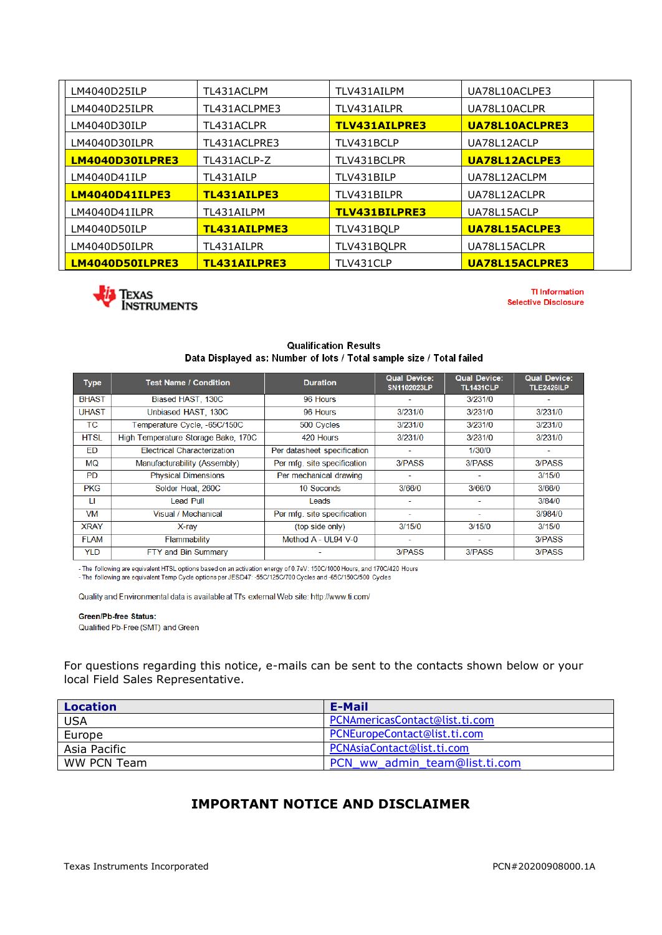| LM4040D25ILP          | TL431ACLPM   | TLV431AILPM   | UA78L10ACLPE3  |
|-----------------------|--------------|---------------|----------------|
| LM4040D25ILPR         | TL431ACLPME3 | TLV431AILPR   | UA78L10ACLPR   |
| LM4040D30ILP          | TL431ACLPR   | TLV431AILPRE3 | UA78L10ACLPRE3 |
| LM4040D30ILPR         | TL431ACLPRE3 | TLV431BCLP    | UA78L12ACLP    |
| LM4040D30ILPRE3       | TL431ACLP-Z  | TLV431BCLPR   | UA78L12ACLPE3  |
| LM4040D41ILP          | TL431AILP    | TLV431BILP    | UA78L12ACLPM   |
| <b>LM4040D41ILPE3</b> | TL431AILPE3  | TLV431BILPR   | UA78L12ACLPR   |
| LM4040D41ILPR         | TL431AILPM   | TLV431BILPRE3 | UA78L15ACLP    |
| LM4040D50ILP          | TL431AILPME3 | TLV431BOLP    | UA78L15ACLPE3  |
| LM4040D50ILPR         | TL431AILPR   | TLV431BOLPR   | UA78L15ACLPR   |
| LM4040D50ILPRE3       | TL431AILPRE3 | TLV431CLP     | UA78L15ACLPRE3 |



**TI Information Selective Disclosure** 

### **Qualification Results** Data Displayed as: Number of lots / Total sample size / Total failed

| <b>Type</b>  | <b>Test Name / Condition</b>        | <b>Duration</b>             | <b>Qual Device:</b><br>SN1102023LP | <b>Qual Device:</b><br><b>TL1431CLP</b> | <b>Qual Device:</b><br><b>TLE2426ILP</b> |
|--------------|-------------------------------------|-----------------------------|------------------------------------|-----------------------------------------|------------------------------------------|
| <b>BHAST</b> | Biased HAST, 130C                   | 96 Hours                    |                                    | 3/231/0                                 |                                          |
| <b>UHAST</b> | Unbiased HAST, 130C                 | 96 Hours                    | 3/231/0                            | 3/231/0                                 | 3/231/0                                  |
| <b>TC</b>    | Temperature Cycle, -65C/150C        | 500 Cycles                  | 3/231/0                            | 3/231/0                                 | 3/231/0                                  |
| <b>HTSL</b>  | High Temperature Storage Bake, 170C | 420 Hours                   | 3/231/0                            | 3/231/0                                 | 3/231/0                                  |
| ED           | <b>Electrical Characterization</b>  | Per datasheet specification |                                    | 1/30/0                                  |                                          |
| MQ           | Manufacturability (Assembly)        | Per mfg. site specification | 3/PASS                             | 3/PASS                                  | 3/PASS                                   |
| <b>PD</b>    | <b>Physical Dimensions</b>          | Per mechanical drawing      |                                    |                                         | 3/15/0                                   |
| <b>PKG</b>   | Solder Heat, 260C                   | 10 Seconds                  | 3/66/0                             | 3/66/0                                  | 3/66/0                                   |
| п            | <b>Lead Pull</b>                    | Leads                       |                                    |                                         | 3/84/0                                   |
| VM           | Visual / Mechanical                 | Per mfg. site specification | ٠                                  | $\overline{\phantom{a}}$                | 3/984/0                                  |
| <b>XRAY</b>  | X-ray                               | (top side only)             | 3/15/0                             | 3/15/0                                  | 3/15/0                                   |
| <b>FLAM</b>  | Flammability                        | Method $A - UL94 V - 0$     | ٠                                  | $\sim$                                  | 3/PASS                                   |
| <b>YLD</b>   | FTY and Bin Summary                 |                             | 3/PASS                             | 3/PASS                                  | 3/PASS                                   |

- The following are equivalent HTSL options based on an activation energy of 0.7eV: 150C/1000 Hours, and 170C/420 Hours<br>- The following are equivalent Temp Cycle options per JESD47: -55C/125C/700 Cycles and -65C/150C/500 C

Quality and Environmental data is available at TI's external Web site: http://www.ti.com/

### Green/Pb-free Status:

Qualified Pb-Free (SMT) and Green

For questions regarding this notice, e-mails can be sent to the contacts shown below or your local Field Sales Representative.

| Location     | E-Mail                         |
|--------------|--------------------------------|
| <b>USA</b>   | PCNAmericasContact@list.ti.com |
| Europe       | PCNEuropeContact@list.ti.com   |
| Asia Pacific | PCNAsiaContact@list.ti.com     |
| WW PCN Team  | PCN ww admin team@list.ti.com  |

## **IMPORTANT NOTICE AND DISCLAIMER**